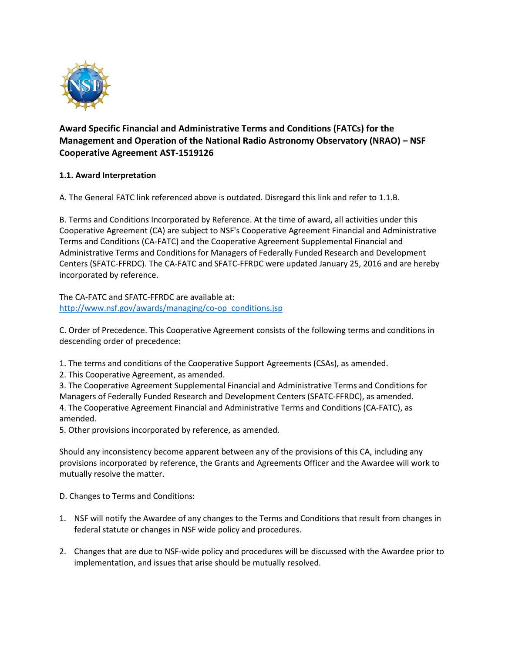

# **Award Specific Financial and Administrative Terms and Conditions (FATCs) for the Management and Operation of the National Radio Astronomy Observatory (NRAO) – NSF Cooperative Agreement AST-1519126**

# **1.1. Award Interpretation**

A. The General FATC link referenced above is outdated. Disregard this link and refer to 1.1.B.

B. Terms and Conditions Incorporated by Reference. At the time of award, all activities under this Cooperative Agreement (CA) are subject to NSF's Cooperative Agreement Financial and Administrative Terms and Conditions (CA-FATC) and the Cooperative Agreement Supplemental Financial and Administrative Terms and Conditions for Managers of Federally Funded Research and Development Centers (SFATC-FFRDC). The CA-FATC and SFATC-FFRDC were updated January 25, 2016 and are hereby incorporated by reference.

The CA-FATC and SFATC-FFRDC are available at: [http://www.nsf.gov/awards/managing/co-op\\_conditions.jsp](http://www.nsf.gov/awards/managing/co-op_conditions.jsp)

C. Order of Precedence. This Cooperative Agreement consists of the following terms and conditions in descending order of precedence:

1. The terms and conditions of the Cooperative Support Agreements (CSAs), as amended.

2. This Cooperative Agreement, as amended.

3. The Cooperative Agreement Supplemental Financial and Administrative Terms and Conditions for Managers of Federally Funded Research and Development Centers (SFATC-FFRDC), as amended. 4. The Cooperative Agreement Financial and Administrative Terms and Conditions (CA-FATC), as amended.

5. Other provisions incorporated by reference, as amended.

Should any inconsistency become apparent between any of the provisions of this CA, including any provisions incorporated by reference, the Grants and Agreements Officer and the Awardee will work to mutually resolve the matter.

D. Changes to Terms and Conditions:

- 1. NSF will notify the Awardee of any changes to the Terms and Conditions that result from changes in federal statute or changes in NSF wide policy and procedures.
- 2. Changes that are due to NSF-wide policy and procedures will be discussed with the Awardee prior to implementation, and issues that arise should be mutually resolved.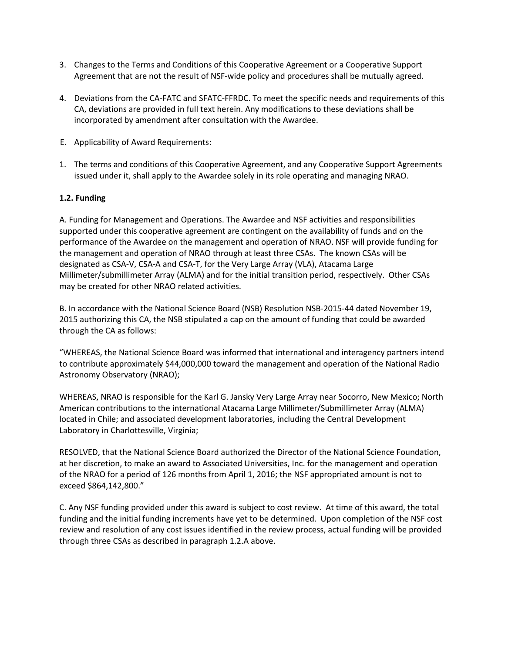- 3. Changes to the Terms and Conditions of this Cooperative Agreement or a Cooperative Support Agreement that are not the result of NSF-wide policy and procedures shall be mutually agreed.
- 4. Deviations from the CA-FATC and SFATC-FFRDC. To meet the specific needs and requirements of this CA, deviations are provided in full text herein. Any modifications to these deviations shall be incorporated by amendment after consultation with the Awardee.
- E. Applicability of Award Requirements:
- 1. The terms and conditions of this Cooperative Agreement, and any Cooperative Support Agreements issued under it, shall apply to the Awardee solely in its role operating and managing NRAO.

### **1.2. Funding**

A. Funding for Management and Operations. The Awardee and NSF activities and responsibilities supported under this cooperative agreement are contingent on the availability of funds and on the performance of the Awardee on the management and operation of NRAO. NSF will provide funding for the management and operation of NRAO through at least three CSAs. The known CSAs will be designated as CSA-V, CSA-A and CSA-T, for the Very Large Array (VLA), Atacama Large Millimeter/submillimeter Array (ALMA) and for the initial transition period, respectively. Other CSAs may be created for other NRAO related activities.

B. In accordance with the National Science Board (NSB) Resolution NSB-2015-44 dated November 19, 2015 authorizing this CA, the NSB stipulated a cap on the amount of funding that could be awarded through the CA as follows:

"WHEREAS, the National Science Board was informed that international and interagency partners intend to contribute approximately \$44,000,000 toward the management and operation of the National Radio Astronomy Observatory (NRAO);

WHEREAS, NRAO is responsible for the Karl G. Jansky Very Large Array near Socorro, New Mexico; North American contributions to the international Atacama Large Millimeter/Submillimeter Array (ALMA) located in Chile; and associated development laboratories, including the Central Development Laboratory in Charlottesville, Virginia;

RESOLVED, that the National Science Board authorized the Director of the National Science Foundation, at her discretion, to make an award to Associated Universities, Inc. for the management and operation of the NRAO for a period of 126 months from April 1, 2016; the NSF appropriated amount is not to exceed \$864,142,800."

C. Any NSF funding provided under this award is subject to cost review. At time of this award, the total funding and the initial funding increments have yet to be determined. Upon completion of the NSF cost review and resolution of any cost issues identified in the review process, actual funding will be provided through three CSAs as described in paragraph 1.2.A above.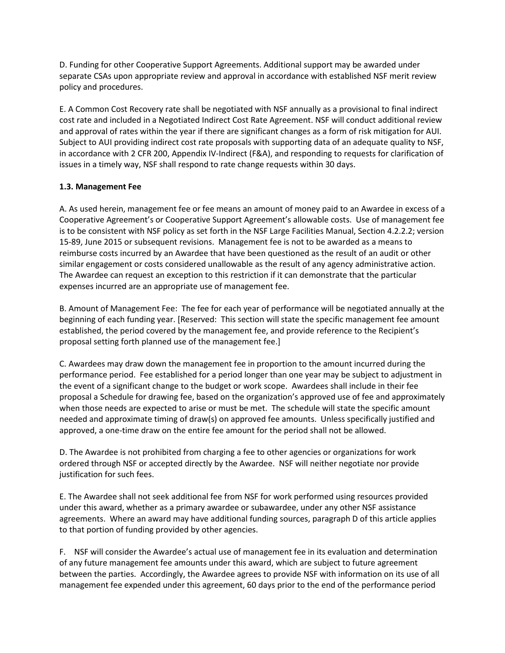D. Funding for other Cooperative Support Agreements. Additional support may be awarded under separate CSAs upon appropriate review and approval in accordance with established NSF merit review policy and procedures.

E. A Common Cost Recovery rate shall be negotiated with NSF annually as a provisional to final indirect cost rate and included in a Negotiated Indirect Cost Rate Agreement. NSF will conduct additional review and approval of rates within the year if there are significant changes as a form of risk mitigation for AUI. Subject to AUI providing indirect cost rate proposals with supporting data of an adequate quality to NSF, in accordance with 2 CFR 200, Appendix IV-Indirect (F&A), and responding to requests for clarification of issues in a timely way, NSF shall respond to rate change requests within 30 days.

### **1.3. Management Fee**

A. As used herein, management fee or fee means an amount of money paid to an Awardee in excess of a Cooperative Agreement's or Cooperative Support Agreement's allowable costs. Use of management fee is to be consistent with NSF policy as set forth in the NSF Large Facilities Manual, Section 4.2.2.2; version 15-89, June 2015 or subsequent revisions. Management fee is not to be awarded as a means to reimburse costs incurred by an Awardee that have been questioned as the result of an audit or other similar engagement or costs considered unallowable as the result of any agency administrative action. The Awardee can request an exception to this restriction if it can demonstrate that the particular expenses incurred are an appropriate use of management fee.

B. Amount of Management Fee: The fee for each year of performance will be negotiated annually at the beginning of each funding year. [Reserved: This section will state the specific management fee amount established, the period covered by the management fee, and provide reference to the Recipient's proposal setting forth planned use of the management fee.]

C. Awardees may draw down the management fee in proportion to the amount incurred during the performance period. Fee established for a period longer than one year may be subject to adjustment in the event of a significant change to the budget or work scope. Awardees shall include in their fee proposal a Schedule for drawing fee, based on the organization's approved use of fee and approximately when those needs are expected to arise or must be met. The schedule will state the specific amount needed and approximate timing of draw(s) on approved fee amounts. Unless specifically justified and approved, a one-time draw on the entire fee amount for the period shall not be allowed.

D. The Awardee is not prohibited from charging a fee to other agencies or organizations for work ordered through NSF or accepted directly by the Awardee. NSF will neither negotiate nor provide justification for such fees.

E. The Awardee shall not seek additional fee from NSF for work performed using resources provided under this award, whether as a primary awardee or subawardee, under any other NSF assistance agreements. Where an award may have additional funding sources, paragraph D of this article applies to that portion of funding provided by other agencies.

F. NSF will consider the Awardee's actual use of management fee in its evaluation and determination of any future management fee amounts under this award, which are subject to future agreement between the parties. Accordingly, the Awardee agrees to provide NSF with information on its use of all management fee expended under this agreement, 60 days prior to the end of the performance period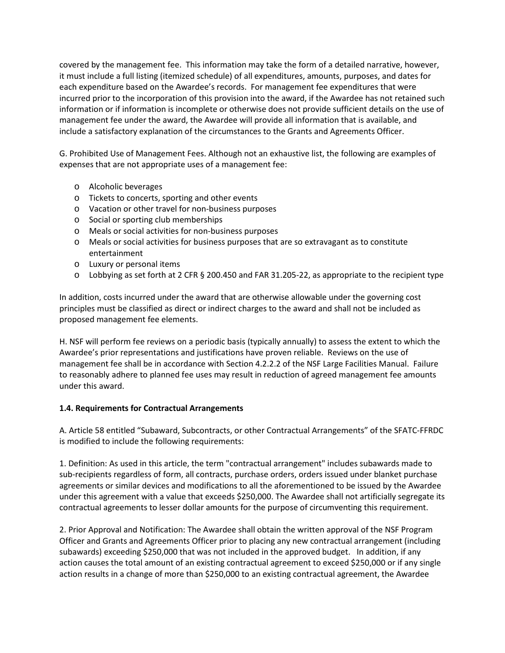covered by the management fee. This information may take the form of a detailed narrative, however, it must include a full listing (itemized schedule) of all expenditures, amounts, purposes, and dates for each expenditure based on the Awardee's records. For management fee expenditures that were incurred prior to the incorporation of this provision into the award, if the Awardee has not retained such information or if information is incomplete or otherwise does not provide sufficient details on the use of management fee under the award, the Awardee will provide all information that is available, and include a satisfactory explanation of the circumstances to the Grants and Agreements Officer.

G. Prohibited Use of Management Fees. Although not an exhaustive list, the following are examples of expenses that are not appropriate uses of a management fee:

- o Alcoholic beverages
- o Tickets to concerts, sporting and other events
- o Vacation or other travel for non-business purposes
- o Social or sporting club memberships
- o Meals or social activities for non-business purposes
- o Meals or social activities for business purposes that are so extravagant as to constitute entertainment
- o Luxury or personal items
- o Lobbying as set forth at 2 CFR § 200.450 and FAR 31.205-22, as appropriate to the recipient type

In addition, costs incurred under the award that are otherwise allowable under the governing cost principles must be classified as direct or indirect charges to the award and shall not be included as proposed management fee elements.

H. NSF will perform fee reviews on a periodic basis (typically annually) to assess the extent to which the Awardee's prior representations and justifications have proven reliable. Reviews on the use of management fee shall be in accordance with Section 4.2.2.2 of the NSF Large Facilities Manual. Failure to reasonably adhere to planned fee uses may result in reduction of agreed management fee amounts under this award.

#### **1.4. Requirements for Contractual Arrangements**

A. Article 58 entitled "Subaward, Subcontracts, or other Contractual Arrangements" of the SFATC-FFRDC is modified to include the following requirements:

1. Definition: As used in this article, the term "contractual arrangement" includes subawards made to sub-recipients regardless of form, all contracts, purchase orders, orders issued under blanket purchase agreements or similar devices and modifications to all the aforementioned to be issued by the Awardee under this agreement with a value that exceeds \$250,000. The Awardee shall not artificially segregate its contractual agreements to lesser dollar amounts for the purpose of circumventing this requirement.

2. Prior Approval and Notification: The Awardee shall obtain the written approval of the NSF Program Officer and Grants and Agreements Officer prior to placing any new contractual arrangement (including subawards) exceeding \$250,000 that was not included in the approved budget. In addition, if any action causes the total amount of an existing contractual agreement to exceed \$250,000 or if any single action results in a change of more than \$250,000 to an existing contractual agreement, the Awardee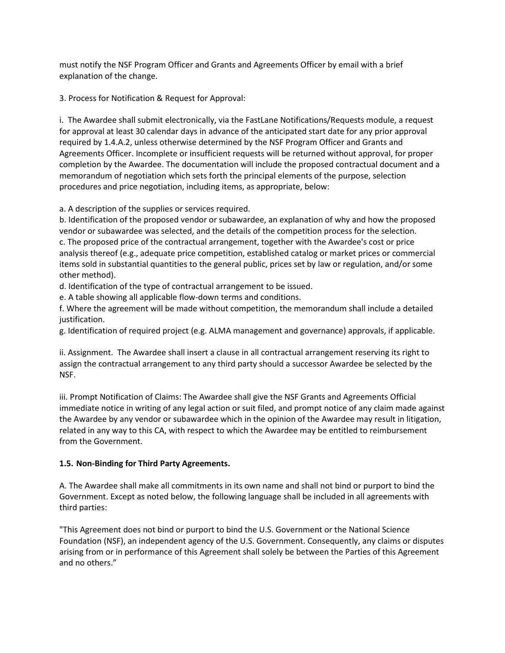must notify the NSF Program Officer and Grants and Agreements Officer by email with a brief explanation of the change.

3. Process for Notification & Request for Approval:

i. The Awardee shall submit electronically, via the FastLane Notifications/Requests module, a request for approval at least 30 calendar days in advance of the anticipated start date for any prior approval required by 1.4.A.2, unless otherwise determined by the NSF Program Officer and Grants and Agreements Officer. Incomplete or insufficient requests will be returned without approval, for proper completion by the Awardee. The documentation will include the proposed contractual document and a memorandum of negotiation which sets forth the principal elements of the purpose, selection procedures and price negotiation, including items, as appropriate, below:

a. A description of the supplies or services required.

b. Identification of the proposed vendor or subawardee, an explanation of why and how the proposed vendor or subawardee was selected, and the details of the competition process for the selection. c. The proposed price of the contractual arrangement, together with the Awardee's cost or price analysis thereof (e.g., adequate price competition, established catalog or market prices or commercial items sold in substantial quantities to the general public, prices set by law or regulation, and/or some other method).

d. Identification of the type of contractual arrangement to be issued.

e. A table showing all applicable flow-down terms and conditions.

f. Where the agreement will be made without competition, the memorandum shall include a detailed justification.

g. Identification of required project (e.g. ALMA management and governance) approvals, if applicable.

ii. Assignment. The Awardee shall insert a clause in all contractual arrangement reserving its right to assign the contractual arrangement to any third party should a successor Awardee be selected by the NSF.

iii. Prompt Notification of Claims: The Awardee shall give the NSF Grants and Agreements Official immediate notice in writing of any legal action or suit filed, and prompt notice of any claim made against the Awardee by any vendor or subawardee which in the opinion of the Awardee may result in litigation, related in any way to this CA, with respect to which the Awardee may be entitled to reimbursement from the Government.

# **1.5. Non-Binding for Third Party Agreements.**

A. The Awardee shall make all commitments in its own name and shall not bind or purport to bind the Government. Except as noted below, the following language shall be included in all agreements with third parties:

"This Agreement does not bind or purport to bind the U.S. Government or the National Science Foundation (NSF), an independent agency of the U.S. Government. Consequently, any claims or disputes arising from or in performance of this Agreement shall solely be between the Parties of this Agreement and no others."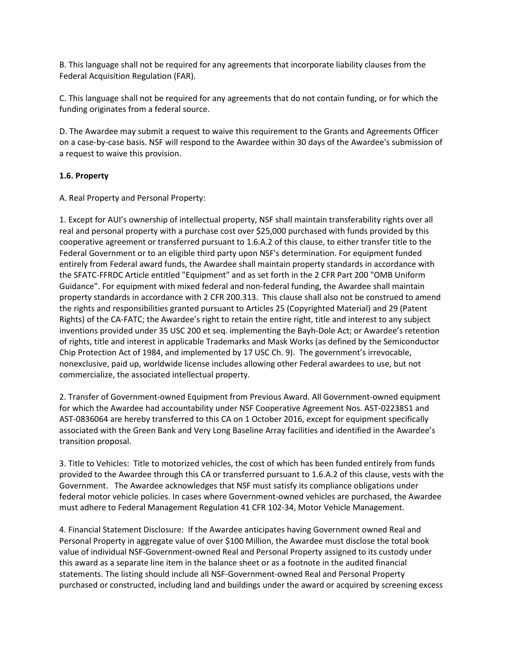B. This language shall not be required for any agreements that incorporate liability clauses from the Federal Acquisition Regulation (FAR).

C. This language shall not be required for any agreements that do not contain funding, or for which the funding originates from a federal source.

D. The Awardee may submit a request to waive this requirement to the Grants and Agreements Officer on a case-by-case basis. NSF will respond to the Awardee within 30 days of the Awardee's submission of a request to waive this provision.

#### **1.6. Property**

A. Real Property and Personal Property:

1. Except for AUI's ownership of intellectual property, NSF shall maintain transferability rights over all real and personal property with a purchase cost over \$25,000 purchased with funds provided by this cooperative agreement or transferred pursuant to 1.6.A.2 of this clause, to either transfer title to the Federal Government or to an eligible third party upon NSF's determination. For equipment funded entirely from Federal award funds, the Awardee shall maintain property standards in accordance with the SFATC-FFRDC Article entitled "Equipment" and as set forth in the 2 CFR Part 200 "OMB Uniform Guidance". For equipment with mixed federal and non-federal funding, the Awardee shall maintain property standards in accordance with 2 CFR 200.313. This clause shall also not be construed to amend the rights and responsibilities granted pursuant to Articles 25 (Copyrighted Material) and 29 (Patent Rights) of the CA-FATC; the Awardee's right to retain the entire right, title and interest to any subject inventions provided under 35 USC 200 et seq. implementing the Bayh-Dole Act; or Awardee's retention of rights, title and interest in applicable Trademarks and Mask Works (as defined by the Semiconductor Chip Protection Act of 1984, and implemented by 17 USC Ch. 9). The government's irrevocable, nonexclusive, paid up, worldwide license includes allowing other Federal awardees to use, but not commercialize, the associated intellectual property.

2. Transfer of Government-owned Equipment from Previous Award. All Government-owned equipment for which the Awardee had accountability under NSF Cooperative Agreement Nos. AST-0223851 and AST-0836064 are hereby transferred to this CA on 1 October 2016, except for equipment specifically associated with the Green Bank and Very Long Baseline Array facilities and identified in the Awardee's transition proposal.

3. Title to Vehicles: Title to motorized vehicles, the cost of which has been funded entirely from funds provided to the Awardee through this CA or transferred pursuant to 1.6.A.2 of this clause, vests with the Government. The Awardee acknowledges that NSF must satisfy its compliance obligations under federal motor vehicle policies. In cases where Government-owned vehicles are purchased, the Awardee must adhere to Federal Management Regulation 41 CFR 102-34, Motor Vehicle Management.

4. Financial Statement Disclosure: If the Awardee anticipates having Government owned Real and Personal Property in aggregate value of over \$100 Million, the Awardee must disclose the total book value of individual NSF-Government-owned Real and Personal Property assigned to its custody under this award as a separate line item in the balance sheet or as a footnote in the audited financial statements. The listing should include all NSF-Government-owned Real and Personal Property purchased or constructed, including land and buildings under the award or acquired by screening excess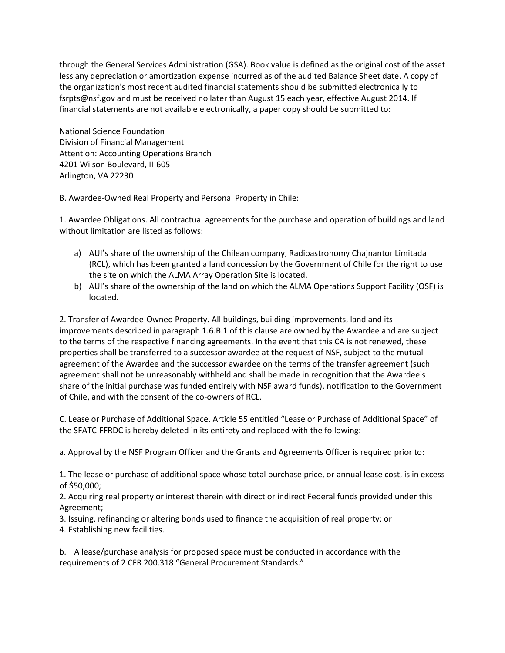through the General Services Administration (GSA). Book value is defined as the original cost of the asset less any depreciation or amortization expense incurred as of the audited Balance Sheet date. A copy of the organization's most recent audited financial statements should be submitted electronically to fsrpts@nsf.gov and must be received no later than August 15 each year, effective August 2014. If financial statements are not available electronically, a paper copy should be submitted to:

National Science Foundation Division of Financial Management Attention: Accounting Operations Branch 4201 Wilson Boulevard, II-605 Arlington, VA 22230

B. Awardee-Owned Real Property and Personal Property in Chile:

1. Awardee Obligations. All contractual agreements for the purchase and operation of buildings and land without limitation are listed as follows:

- a) AUI's share of the ownership of the Chilean company, Radioastronomy Chajnantor Limitada (RCL), which has been granted a land concession by the Government of Chile for the right to use the site on which the ALMA Array Operation Site is located.
- b) AUI's share of the ownership of the land on which the ALMA Operations Support Facility (OSF) is located.

2. Transfer of Awardee-Owned Property. All buildings, building improvements, land and its improvements described in paragraph 1.6.B.1 of this clause are owned by the Awardee and are subject to the terms of the respective financing agreements. In the event that this CA is not renewed, these properties shall be transferred to a successor awardee at the request of NSF, subject to the mutual agreement of the Awardee and the successor awardee on the terms of the transfer agreement (such agreement shall not be unreasonably withheld and shall be made in recognition that the Awardee's share of the initial purchase was funded entirely with NSF award funds), notification to the Government of Chile, and with the consent of the co-owners of RCL.

C. Lease or Purchase of Additional Space. Article 55 entitled "Lease or Purchase of Additional Space" of the SFATC-FFRDC is hereby deleted in its entirety and replaced with the following:

a. Approval by the NSF Program Officer and the Grants and Agreements Officer is required prior to:

1. The lease or purchase of additional space whose total purchase price, or annual lease cost, is in excess of \$50,000;

2. Acquiring real property or interest therein with direct or indirect Federal funds provided under this Agreement;

3. Issuing, refinancing or altering bonds used to finance the acquisition of real property; or

4. Establishing new facilities.

b. A lease/purchase analysis for proposed space must be conducted in accordance with the requirements of 2 CFR 200.318 "General Procurement Standards."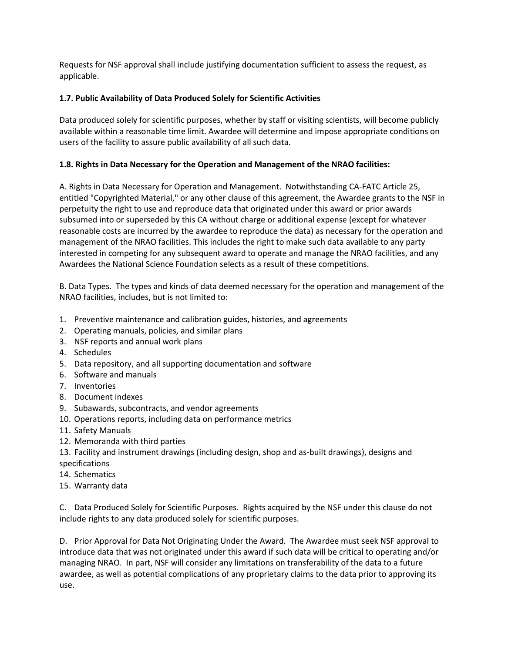Requests for NSF approval shall include justifying documentation sufficient to assess the request, as applicable.

### **1.7. Public Availability of Data Produced Solely for Scientific Activities**

Data produced solely for scientific purposes, whether by staff or visiting scientists, will become publicly available within a reasonable time limit. Awardee will determine and impose appropriate conditions on users of the facility to assure public availability of all such data.

### **1.8. Rights in Data Necessary for the Operation and Management of the NRAO facilities:**

A. Rights in Data Necessary for Operation and Management. Notwithstanding CA-FATC Article 25, entitled "Copyrighted Material," or any other clause of this agreement, the Awardee grants to the NSF in perpetuity the right to use and reproduce data that originated under this award or prior awards subsumed into or superseded by this CA without charge or additional expense (except for whatever reasonable costs are incurred by the awardee to reproduce the data) as necessary for the operation and management of the NRAO facilities. This includes the right to make such data available to any party interested in competing for any subsequent award to operate and manage the NRAO facilities, and any Awardees the National Science Foundation selects as a result of these competitions.

B. Data Types. The types and kinds of data deemed necessary for the operation and management of the NRAO facilities, includes, but is not limited to:

- 1. Preventive maintenance and calibration guides, histories, and agreements
- 2. Operating manuals, policies, and similar plans
- 3. NSF reports and annual work plans
- 4. Schedules
- 5. Data repository, and all supporting documentation and software
- 6. Software and manuals
- 7. Inventories
- 8. Document indexes
- 9. Subawards, subcontracts, and vendor agreements
- 10. Operations reports, including data on performance metrics
- 11. Safety Manuals
- 12. Memoranda with third parties
- 13. Facility and instrument drawings (including design, shop and as-built drawings), designs and specifications
- 14. Schematics
- 15. Warranty data

C. Data Produced Solely for Scientific Purposes. Rights acquired by the NSF under this clause do not include rights to any data produced solely for scientific purposes.

D. Prior Approval for Data Not Originating Under the Award. The Awardee must seek NSF approval to introduce data that was not originated under this award if such data will be critical to operating and/or managing NRAO. In part, NSF will consider any limitations on transferability of the data to a future awardee, as well as potential complications of any proprietary claims to the data prior to approving its use.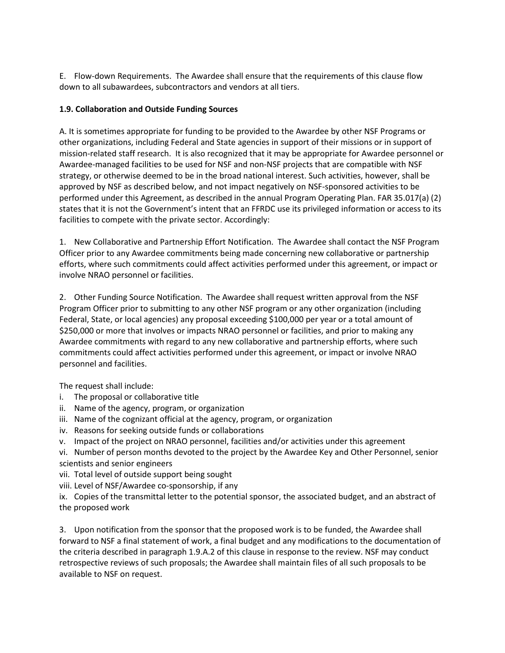E. Flow-down Requirements. The Awardee shall ensure that the requirements of this clause flow down to all subawardees, subcontractors and vendors at all tiers.

# **1.9. Collaboration and Outside Funding Sources**

A. It is sometimes appropriate for funding to be provided to the Awardee by other NSF Programs or other organizations, including Federal and State agencies in support of their missions or in support of mission-related staff research. It is also recognized that it may be appropriate for Awardee personnel or Awardee-managed facilities to be used for NSF and non-NSF projects that are compatible with NSF strategy, or otherwise deemed to be in the broad national interest. Such activities, however, shall be approved by NSF as described below, and not impact negatively on NSF-sponsored activities to be performed under this Agreement, as described in the annual Program Operating Plan. FAR 35.017(a) (2) states that it is not the Government's intent that an FFRDC use its privileged information or access to its facilities to compete with the private sector. Accordingly:

1. New Collaborative and Partnership Effort Notification. The Awardee shall contact the NSF Program Officer prior to any Awardee commitments being made concerning new collaborative or partnership efforts, where such commitments could affect activities performed under this agreement, or impact or involve NRAO personnel or facilities.

2. Other Funding Source Notification. The Awardee shall request written approval from the NSF Program Officer prior to submitting to any other NSF program or any other organization (including Federal, State, or local agencies) any proposal exceeding \$100,000 per year or a total amount of \$250,000 or more that involves or impacts NRAO personnel or facilities, and prior to making any Awardee commitments with regard to any new collaborative and partnership efforts, where such commitments could affect activities performed under this agreement, or impact or involve NRAO personnel and facilities.

The request shall include:

- i. The proposal or collaborative title
- ii. Name of the agency, program, or organization
- iii. Name of the cognizant official at the agency, program, or organization
- iv. Reasons for seeking outside funds or collaborations
- v. Impact of the project on NRAO personnel, facilities and/or activities under this agreement
- vi. Number of person months devoted to the project by the Awardee Key and Other Personnel, senior scientists and senior engineers
- vii. Total level of outside support being sought
- viii. Level of NSF/Awardee co-sponsorship, if any
- ix. Copies of the transmittal letter to the potential sponsor, the associated budget, and an abstract of the proposed work

3. Upon notification from the sponsor that the proposed work is to be funded, the Awardee shall forward to NSF a final statement of work, a final budget and any modifications to the documentation of the criteria described in paragraph 1.9.A.2 of this clause in response to the review. NSF may conduct retrospective reviews of such proposals; the Awardee shall maintain files of all such proposals to be available to NSF on request.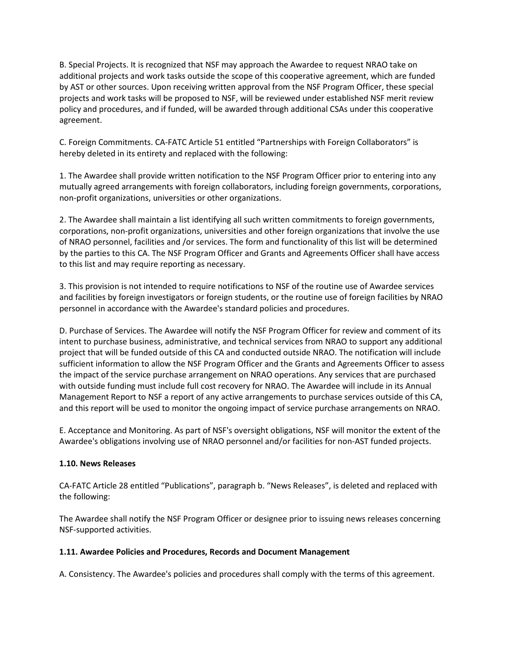B. Special Projects. It is recognized that NSF may approach the Awardee to request NRAO take on additional projects and work tasks outside the scope of this cooperative agreement, which are funded by AST or other sources. Upon receiving written approval from the NSF Program Officer, these special projects and work tasks will be proposed to NSF, will be reviewed under established NSF merit review policy and procedures, and if funded, will be awarded through additional CSAs under this cooperative agreement.

C. Foreign Commitments. CA-FATC Article 51 entitled "Partnerships with Foreign Collaborators" is hereby deleted in its entirety and replaced with the following:

1. The Awardee shall provide written notification to the NSF Program Officer prior to entering into any mutually agreed arrangements with foreign collaborators, including foreign governments, corporations, non-profit organizations, universities or other organizations.

2. The Awardee shall maintain a list identifying all such written commitments to foreign governments, corporations, non-profit organizations, universities and other foreign organizations that involve the use of NRAO personnel, facilities and /or services. The form and functionality of this list will be determined by the parties to this CA. The NSF Program Officer and Grants and Agreements Officer shall have access to this list and may require reporting as necessary.

3. This provision is not intended to require notifications to NSF of the routine use of Awardee services and facilities by foreign investigators or foreign students, or the routine use of foreign facilities by NRAO personnel in accordance with the Awardee's standard policies and procedures.

D. Purchase of Services. The Awardee will notify the NSF Program Officer for review and comment of its intent to purchase business, administrative, and technical services from NRAO to support any additional project that will be funded outside of this CA and conducted outside NRAO. The notification will include sufficient information to allow the NSF Program Officer and the Grants and Agreements Officer to assess the impact of the service purchase arrangement on NRAO operations. Any services that are purchased with outside funding must include full cost recovery for NRAO. The Awardee will include in its Annual Management Report to NSF a report of any active arrangements to purchase services outside of this CA, and this report will be used to monitor the ongoing impact of service purchase arrangements on NRAO.

E. Acceptance and Monitoring. As part of NSF's oversight obligations, NSF will monitor the extent of the Awardee's obligations involving use of NRAO personnel and/or facilities for non-AST funded projects.

# **1.10. News Releases**

CA-FATC Article 28 entitled "Publications", paragraph b. "News Releases", is deleted and replaced with the following:

The Awardee shall notify the NSF Program Officer or designee prior to issuing news releases concerning NSF-supported activities.

# **1.11. Awardee Policies and Procedures, Records and Document Management**

A. Consistency. The Awardee's policies and procedures shall comply with the terms of this agreement.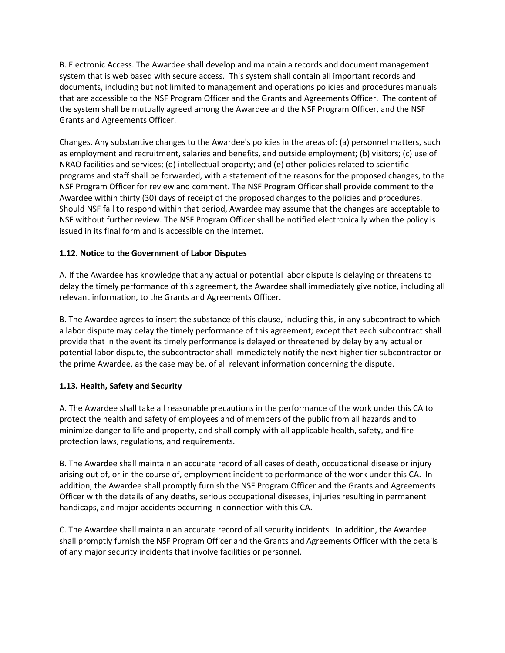B. Electronic Access. The Awardee shall develop and maintain a records and document management system that is web based with secure access. This system shall contain all important records and documents, including but not limited to management and operations policies and procedures manuals that are accessible to the NSF Program Officer and the Grants and Agreements Officer. The content of the system shall be mutually agreed among the Awardee and the NSF Program Officer, and the NSF Grants and Agreements Officer.

Changes. Any substantive changes to the Awardee's policies in the areas of: (a) personnel matters, such as employment and recruitment, salaries and benefits, and outside employment; (b) visitors; (c) use of NRAO facilities and services; (d) intellectual property; and (e) other policies related to scientific programs and staff shall be forwarded, with a statement of the reasons for the proposed changes, to the NSF Program Officer for review and comment. The NSF Program Officer shall provide comment to the Awardee within thirty (30) days of receipt of the proposed changes to the policies and procedures. Should NSF fail to respond within that period, Awardee may assume that the changes are acceptable to NSF without further review. The NSF Program Officer shall be notified electronically when the policy is issued in its final form and is accessible on the Internet.

# **1.12. Notice to the Government of Labor Disputes**

A. If the Awardee has knowledge that any actual or potential labor dispute is delaying or threatens to delay the timely performance of this agreement, the Awardee shall immediately give notice, including all relevant information, to the Grants and Agreements Officer.

B. The Awardee agrees to insert the substance of this clause, including this, in any subcontract to which a labor dispute may delay the timely performance of this agreement; except that each subcontract shall provide that in the event its timely performance is delayed or threatened by delay by any actual or potential labor dispute, the subcontractor shall immediately notify the next higher tier subcontractor or the prime Awardee, as the case may be, of all relevant information concerning the dispute.

#### **1.13. Health, Safety and Security**

A. The Awardee shall take all reasonable precautions in the performance of the work under this CA to protect the health and safety of employees and of members of the public from all hazards and to minimize danger to life and property, and shall comply with all applicable health, safety, and fire protection laws, regulations, and requirements.

B. The Awardee shall maintain an accurate record of all cases of death, occupational disease or injury arising out of, or in the course of, employment incident to performance of the work under this CA. In addition, the Awardee shall promptly furnish the NSF Program Officer and the Grants and Agreements Officer with the details of any deaths, serious occupational diseases, injuries resulting in permanent handicaps, and major accidents occurring in connection with this CA.

C. The Awardee shall maintain an accurate record of all security incidents. In addition, the Awardee shall promptly furnish the NSF Program Officer and the Grants and Agreements Officer with the details of any major security incidents that involve facilities or personnel.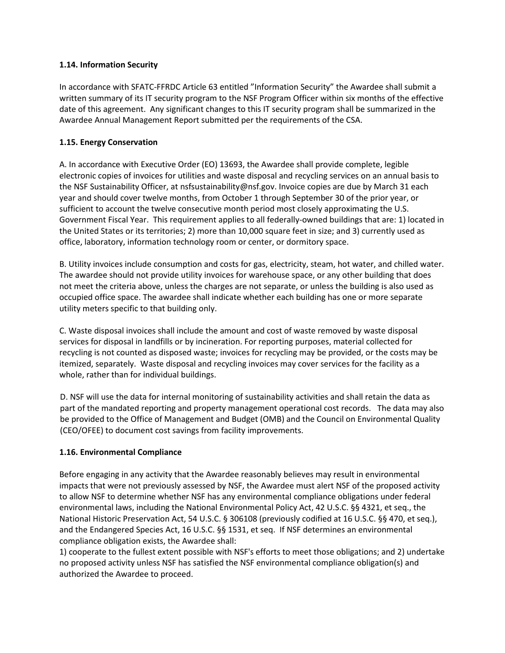#### **1.14. Information Security**

In accordance with SFATC-FFRDC Article 63 entitled "Information Security" the Awardee shall submit a written summary of its IT security program to the NSF Program Officer within six months of the effective date of this agreement. Any significant changes to this IT security program shall be summarized in the Awardee Annual Management Report submitted per the requirements of the CSA.

### **1.15. Energy Conservation**

A. In accordance with Executive Order (EO) 13693, the Awardee shall provide complete, legible electronic copies of invoices for utilities and waste disposal and recycling services on an annual basis to the NSF Sustainability Officer, at nsfsustainability@nsf.gov. Invoice copies are due by March 31 each year and should cover twelve months, from October 1 through September 30 of the prior year, or sufficient to account the twelve consecutive month period most closely approximating the U.S. Government Fiscal Year. This requirement applies to all federally-owned buildings that are: 1) located in the United States or its territories; 2) more than 10,000 square feet in size; and 3) currently used as office, laboratory, information technology room or center, or dormitory space.

B. Utility invoices include consumption and costs for gas, electricity, steam, hot water, and chilled water. The awardee should not provide utility invoices for warehouse space, or any other building that does not meet the criteria above, unless the charges are not separate, or unless the building is also used as occupied office space. The awardee shall indicate whether each building has one or more separate utility meters specific to that building only.

C. Waste disposal invoices shall include the amount and cost of waste removed by waste disposal services for disposal in landfills or by incineration. For reporting purposes, material collected for recycling is not counted as disposed waste; invoices for recycling may be provided, or the costs may be itemized, separately. Waste disposal and recycling invoices may cover services for the facility as a whole, rather than for individual buildings.

D. NSF will use the data for internal monitoring of sustainability activities and shall retain the data as part of the mandated reporting and property management operational cost records. The data may also be provided to the Office of Management and Budget (OMB) and the Council on Environmental Quality (CEO/OFEE) to document cost savings from facility improvements.

# **1.16. Environmental Compliance**

Before engaging in any activity that the Awardee reasonably believes may result in environmental impacts that were not previously assessed by NSF, the Awardee must alert NSF of the proposed activity to allow NSF to determine whether NSF has any environmental compliance obligations under federal environmental laws, including the National Environmental Policy Act, 42 U.S.C. §§ 4321, et seq., the National Historic Preservation Act, 54 U.S.C. § 306108 (previously codified at 16 U.S.C. §§ 470, et seq.), and the Endangered Species Act, 16 U.S.C. §§ 1531, et seq. If NSF determines an environmental compliance obligation exists, the Awardee shall:

1) cooperate to the fullest extent possible with NSF's efforts to meet those obligations; and 2) undertake no proposed activity unless NSF has satisfied the NSF environmental compliance obligation(s) and authorized the Awardee to proceed.